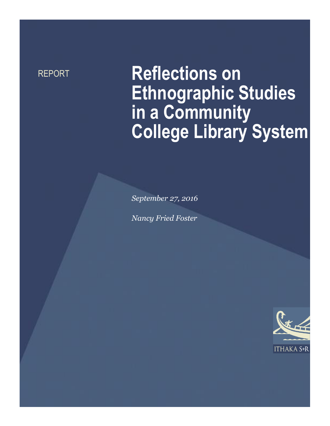# REPORT **Reflections on Ethnographic Studies in a Community College Library System**

*September 27, 2016*

*Nancy Fried Foster*

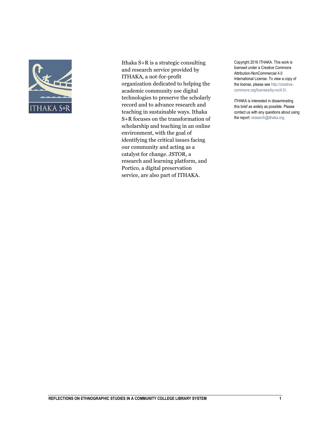

Ithaka S+R is a strategic consulting and research service provided by ITHAKA, a not-for-profit organization dedicated to helping the academic community use digital technologies to preserve the scholarly record and to advance research and teaching in sustainable ways. Ithaka S+R focuses on the transformation of scholarship and teaching in an online environment, with the goal of identifying the critical issues facing our community and acting as a catalyst for change. JSTOR, a research and learning platform, and Portico, a digital preservation service, are also part of ITHAKA.

Copyright 2016 ITHAKA. This work is licensed under a Creative Commons Attribution-NonCommercial 4.0 International License. To view a copy of the license, please see http://creativecommons.org/licenses/by-nc/4.0/.

ITHAKA is interested in disseminating this brief as widely as possible. Please contact us with any questions about using the report: research@ithaka.org.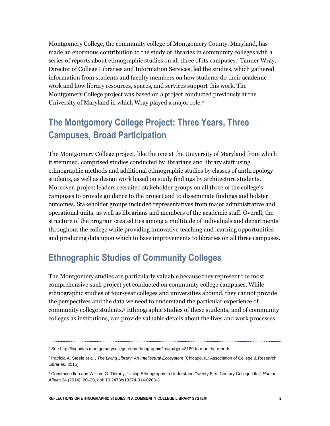Montgomery College, the community college of Montgomery County, Maryland, has made an enormous contribution to the study of libraries in community colleges with a series of reports about ethnographic studies on all three of its campuses.<sup>1</sup> Tanner Wray, Director of College Libraries and Information Services, led the studies, which gathered information from students and faculty members on how students do their academic work and how library resources, spaces, and services support this work. The Montgomery College project was based on a project conducted previously at the University of Maryland in which Wray played a major role.<sup>2</sup>

#### **The Montgomery College Project: Three Years, Three Campuses, Broad Participation**

The Montgomery College project, like the one at the University of Maryland from which it stemmed, comprised studies conducted by librarians and library staff using ethnographic methods and additional ethnographic studies by classes of anthropology students, as well as design work based on study findings by architecture students. Moreover, project leaders recruited stakeholder groups on all three of the college's campuses to provide guidance to the project and to disseminate findings and bolster outcomes. Stakeholder groups included representatives from major administrative and operational units, as well as librarians and members of the academic staff. Overall, the structure of the program created ties among a multitude of individuals and departments throughout the college while providing innovative teaching and learning opportunities and producing data upon which to base improvements to libraries on all three campuses.

#### **Ethnographic Studies of Community Colleges**

The Montgomery studies are particularly valuable because they represent the most comprehensive such project yet conducted on community college campuses. While ethnographic studies of four-year colleges and universities abound, they cannot provide the perspectives and the data we need to understand the particular experience of community college students.<sup>3</sup> Ethnographic studies of these students, and of community colleges as institutions, can provide valuable details about the lives and work processes

<sup>&</sup>lt;sup>1</sup> Se[e http://libguides.montgomerycollege.edu/ethnographic?hs=a&gid=3189](http://libguides.montgomerycollege.edu/ethnographic?hs=a&gid=3189) to read the reports.

<sup>2</sup> Patricia A. Steele et al., *The Living Library: An Intellectual Ecosystem* (Chicago, IL: Association of College & Research Libraries, 2015).

<sup>3</sup> Constance Iloh and William G. Tierney, "Using Ethnography to Understand Twenty-First Century College Life," *Human Affairs* 24 (2014): 20–39, doi: [10.2478/s13374-014-0203-3.](http://dx.doi.org/10.2478/s13374-014-0203-3)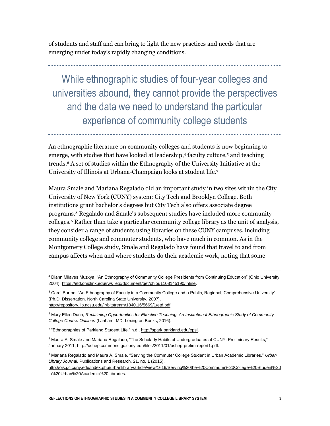of students and staff and can bring to light the new practices and needs that are emerging under today's rapidly changing conditions.

While ethnographic studies of four-year colleges and universities abound, they cannot provide the perspectives and the data we need to understand the particular experience of community college students

An ethnographic literature on community colleges and students is now beginning to emerge, with studies that have looked at leadership,<sup>4</sup> faculty culture,<sup>5</sup> and teaching trends.<sup>6</sup> A set of studies within the Ethnography of the University Initiative at the University of Illinois at Urbana-Champaign looks at student life.<sup>7</sup>

Maura Smale and Mariana Regalado did an important study in two sites within the City University of New York (CUNY) system: City Tech and Brooklyn College. Both institutions grant bachelor's degrees but City Tech also offers associate degree programs.<sup>8</sup> Regalado and Smale's subsequent studies have included more community colleges.<sup>9</sup> Rather than take a particular community college library as the unit of analysis, they consider a range of students using libraries on these CUNY campuses, including community college and commuter students, who have much in common. As in the Montgomery College study, Smale and Regalado have found that travel to and from campus affects when and where students do their academic work, noting that some

<sup>5</sup> Carol Burton, "An Ethnography of Faculty in a Community College and a Public, Regional, Comprehensive University" (Ph.D. Dissertation, North Carolina State University, 2007), [http://repository.lib.ncsu.edu/ir/bitstream/1840.16/5669/1/etd.pdf.](http://repository.lib.ncsu.edu/ir/bitstream/1840.16/5669/1/etd.pdf)

<sup>6</sup> Mary Ellen Dunn, *Reclaiming Opportunities for Effective Teaching: An Institutional Ethnographic Study of Community College Course Outlines* (Lanham, MD: Lexington Books, 2016).

<sup>7</sup> "Ethnographies of Parkland Student Life," n.d., [http://spark.parkland.edu/epsl.](http://spark.parkland.edu/epsl)

<sup>8</sup> Maura A. Smale and Mariana Regalado, "The Scholarly Habits of Undergraduates at CUNY: Preliminary Results," January 2011, [http://ushep.commons.gc.cuny.edu/files/2011/01/ushep-prelim-report1.pdf.](http://ushep.commons.gc.cuny.edu/files/2011/01/ushep-prelim-report1.pdf)

<sup>9</sup> Mariana Regalado and Maura A. Smale, "Serving the Commuter College Student in Urban Academic Libraries," *Urban Library Journal*, Publications and Research, 21, no. 1 (2015),

[http://ojs.gc.cuny.edu/index.php/urbanlibrary/article/view/1619/Serving%20the%20Commuter%20College%20Student%20](http://ojs.gc.cuny.edu/index.php/urbanlibrary/article/view/1619/Serving%20the%20Commuter%20College%20Student%20in%20Urban%20Academic%20Libraries) [in%20Urban%20Academic%20Libraries.](http://ojs.gc.cuny.edu/index.php/urbanlibrary/article/view/1619/Serving%20the%20Commuter%20College%20Student%20in%20Urban%20Academic%20Libraries)

<sup>4</sup> Diann Milaves Muzkya, "An Ethnography of Community College Presidents from Continuing Education" (Ohio University, 2004), [https://etd.ohiolink.edu/rws\\_etd/document/get/ohiou1108145190/inline.](https://etd.ohiolink.edu/rws_etd/document/get/ohiou1108145190/inline)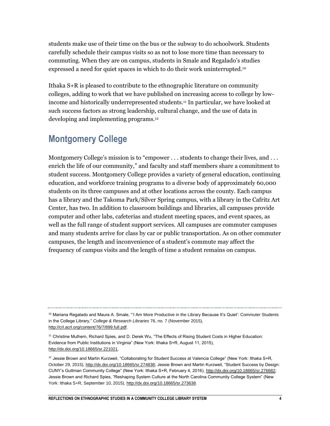students make use of their time on the bus or the subway to do schoolwork. Students carefully schedule their campus visits so as not to lose more time than necessary to commuting. When they are on campus, students in Smale and Regalado's studies expressed a need for quiet spaces in which to do their work uninterrupted.<sup>10</sup>

Ithaka S+R is pleased to contribute to the ethnographic literature on community colleges, adding to work that we have published on increasing access to college by lowincome and historically underrepresented students.<sup>11</sup> In particular, we have looked at such success factors as strong leadership, cultural change, and the use of data in developing and implementing programs.<sup>12</sup>

#### **Montgomery College**

Montgomery College's mission is to "empower . . . students to change their lives, and . . . enrich the life of our community," and faculty and staff members share a commitment to student success. Montgomery College provides a variety of general education, continuing education, and workforce training programs to a diverse body of approximately 60,000 students on its three campuses and at other locations across the county. Each campus has a library and the Takoma Park/Silver Spring campus, with a library in the Cafritz Art Center, has two. In addition to classroom buildings and libraries, all campuses provide computer and other labs, cafeterias and student meeting spaces, and event spaces, as well as the full range of student support services. All campuses are commuter campuses and many students arrive for class by car or public transportation. As on other commuter campuses, the length and inconvenience of a student's commute may affect the frequency of campus visits and the length of time a student remains on campus.

<sup>&</sup>lt;sup>10</sup> Mariana Regalado and Maura A. Smale, "'I Am More Productive in the Library Because It's Quiet': Commuter Students in the College Library," *College & Research Libraries* 76, no. 7 (November 2015), [http://crl.acrl.org/content/76/7/899.full.pdf.](http://crl.acrl.org/content/76/7/899.full.pdf)

<sup>11</sup> Christine Mulhern, Richard Spies, and D. Derek Wu, "The Effects of Rising Student Costs in Higher Education: Evidence from Public Institutions in Virginia" (New York: Ithaka S+R, August 11, 2015), [http://dx.doi.org/10.18665/sr.221021.](http://dx.doi.org/10.18665/sr.221021)

 $12$  Jessie Brown and Martin Kurzweil, "Collaborating for Student Success at Valencia College" (New York: Ithaka S+R, October 29, 2015), [http://dx.doi.org/10.18665/sr.274838;](http://dx.doi.org/10.18665/sr.274838) Jessie Brown and Martin Kurzweil, "Student Success by Design: CUNY's Guttman Community College" (New York: Ithaka S+R, February 4, 2016), [http://dx.doi.org/10.18665/sr.276682;](http://dx.doi.org/10.18665/sr.276682) Jessie Brown and Richard Spies, "Reshaping System Culture at the North Carolina Community College System" (New York: Ithaka S+R, September 10, 2015)[, http://dx.doi.org/10.18665/sr.273638.](http://dx.doi.org/10.18665/sr.273638)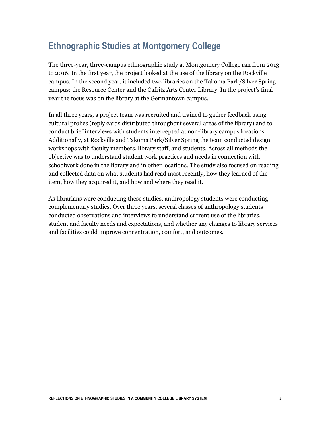# **Ethnographic Studies at Montgomery College**

The three-year, three-campus ethnographic study at Montgomery College ran from 2013 to 2016. In the first year, the project looked at the use of the library on the Rockville campus. In the second year, it included two libraries on the Takoma Park/Silver Spring campus: the Resource Center and the Cafritz Arts Center Library. In the project's final year the focus was on the library at the Germantown campus.

In all three years, a project team was recruited and trained to gather feedback using cultural probes (reply cards distributed throughout several areas of the library) and to conduct brief interviews with students intercepted at non-library campus locations. Additionally, at Rockville and Takoma Park/Silver Spring the team conducted design workshops with faculty members, library staff, and students. Across all methods the objective was to understand student work practices and needs in connection with schoolwork done in the library and in other locations. The study also focused on reading and collected data on what students had read most recently, how they learned of the item, how they acquired it, and how and where they read it.

As librarians were conducting these studies, anthropology students were conducting complementary studies. Over three years, several classes of anthropology students conducted observations and interviews to understand current use of the libraries, student and faculty needs and expectations, and whether any changes to library services and facilities could improve concentration, comfort, and outcomes.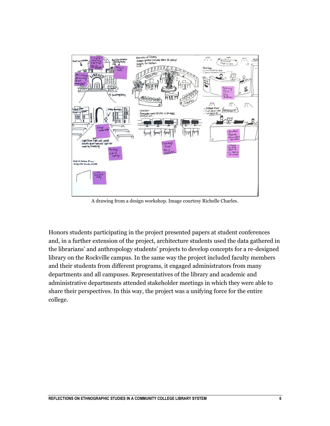

A drawing from a design workshop. Image courtesy Richelle Charles.

Honors students participating in the project presented papers at student conferences and, in a further extension of the project, architecture students used the data gathered in the librarians' and anthropology students' projects to develop concepts for a re-designed library on the Rockville campus. In the same way the project included faculty members and their students from different programs, it engaged administrators from many departments and all campuses. Representatives of the library and academic and administrative departments attended stakeholder meetings in which they were able to share their perspectives. In this way, the project was a unifying force for the entire college.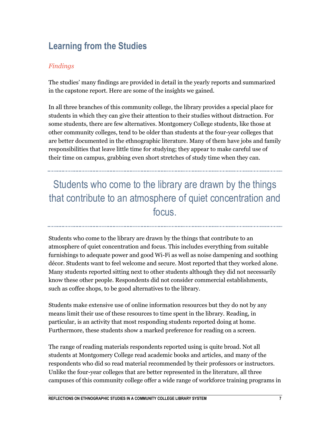# **Learning from the Studies**

#### *Findings*

The studies' many findings are provided in detail in the yearly reports and summarized in the capstone report. Here are some of the insights we gained.

In all three branches of this community college, the library provides a special place for students in which they can give their attention to their studies without distraction. For some students, there are few alternatives. Montgomery College students, like those at other community colleges, tend to be older than students at the four-year colleges that are better documented in the ethnographic literature. Many of them have jobs and family responsibilities that leave little time for studying; they appear to make careful use of their time on campus, grabbing even short stretches of study time when they can.

Students who come to the library are drawn by the things that contribute to an atmosphere of quiet concentration and focus.

Students who come to the library are drawn by the things that contribute to an atmosphere of quiet concentration and focus. This includes everything from suitable furnishings to adequate power and good Wi-Fi as well as noise dampening and soothing décor. Students want to feel welcome and secure. Most reported that they worked alone. Many students reported sitting next to other students although they did not necessarily know these other people. Respondents did not consider commercial establishments, such as coffee shops, to be good alternatives to the library.

Students make extensive use of online information resources but they do not by any means limit their use of these resources to time spent in the library. Reading, in particular, is an activity that most responding students reported doing at home. Furthermore, these students show a marked preference for reading on a screen.

The range of reading materials respondents reported using is quite broad. Not all students at Montgomery College read academic books and articles, and many of the respondents who did so read material recommended by their professors or instructors. Unlike the four-year colleges that are better represented in the literature, all three campuses of this community college offer a wide range of workforce training programs in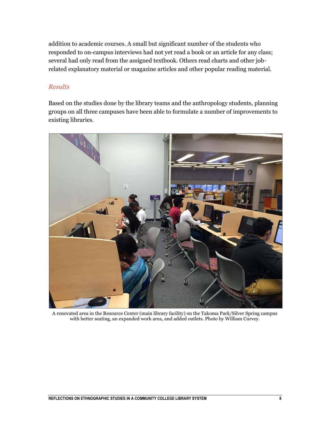addition to academic courses. A small but significant number of the students who responded to on-campus interviews had not yet read a book or an article for any class; several had only read from the assigned textbook. Others read charts and other jobrelated explanatory material or magazine articles and other popular reading material.

#### *Results*

Based on the studies done by the library teams and the anthropology students, planning groups on all three campuses have been able to formulate a number of improvements to existing libraries.



A renovated area in the Resource Center (main library facility) on the Takoma Park/Silver Spring campus with better seating, an expanded work area, and added outlets. Photo by William Curvey.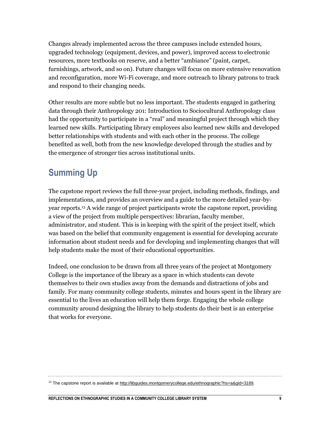Changes already implemented across the three campuses include extended hours, upgraded technology (equipment, devices, and power), improved access to electronic resources, more textbooks on reserve, and a better "ambiance" (paint, carpet, furnishings, artwork, and so on). Future changes will focus on more extensive renovation and reconfiguration, more Wi-Fi coverage, and more outreach to library patrons to track and respond to their changing needs.

Other results are more subtle but no less important. The students engaged in gathering data through their Anthropology 201: Introduction to Sociocultural Anthropology class had the opportunity to participate in a "real" and meaningful project through which they learned new skills. Participating library employees also learned new skills and developed better relationships with students and with each other in the process. The college benefited as well, both from the new knowledge developed through the studies and by the emergence of stronger ties across institutional units.

## **Summing Up**

The capstone report reviews the full three-year project, including methods, findings, and implementations, and provides an overview and a guide to the more detailed year-byyear reports.<sup>13</sup> A wide range of project participants wrote the capstone report, providing a view of the project from multiple perspectives: librarian, faculty member, administrator, and student. This is in keeping with the spirit of the project itself, which was based on the belief that community engagement is essential for developing accurate information about student needs and for developing and implementing changes that will help students make the most of their educational opportunities.

Indeed, one conclusion to be drawn from all three years of the project at Montgomery College is the importance of the library as a space in which students can devote themselves to their own studies away from the demands and distractions of jobs and family. For many community college students, minutes and hours spent in the library are essential to the lives an education will help them forge. Engaging the whole college community around designing the library to help students do their best is an enterprise that works for everyone.

<sup>&</sup>lt;sup>13</sup> The capstone report is available at http://libguides.montgomerycollege.edu/ethnographic?hs=a&gid=3189.